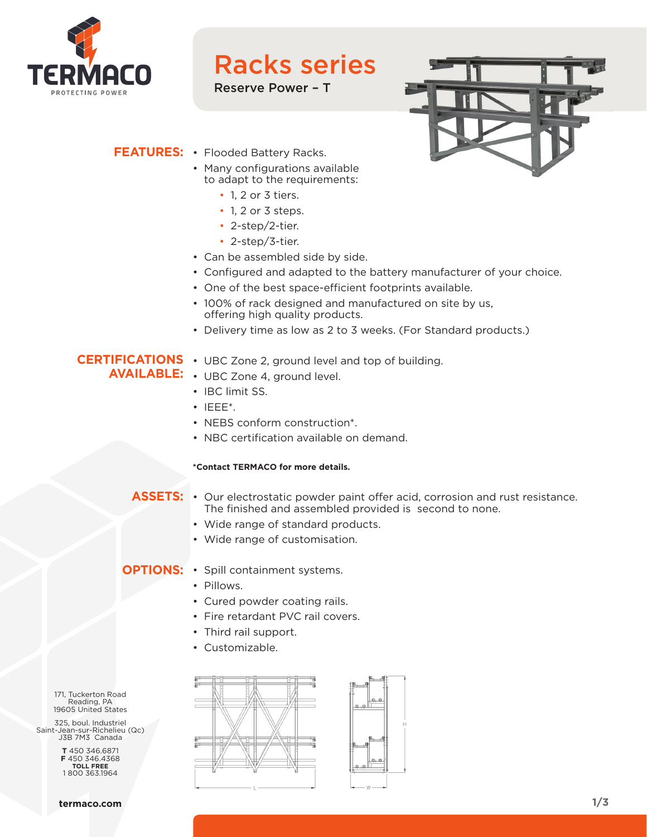

### Racks series

Reserve Power – T



#### **FEATURES:** • Flooded Battery Racks.

- Many configurations available to adapt to the requirements:
	- 1, 2 or 3 tiers.
	- 1, 2 or 3 steps.
	- 2-step/2-tier.
	- 2-step/3-tier.
- Can be assembled side by side.
- Configured and adapted to the battery manufacturer of your choice.
- One of the best space-efficient footprints available.
- 100% of rack designed and manufactured on site by us, offering high quality products.
- Delivery time as low as 2 to 3 weeks. (For Standard products.)

### **CERTIFICATIONS**  • UBC Zone 2, ground level and top of building.

- **AVAILABLE:** UBC Zone 4, ground level.
	- IBC limit SS.
	- IEEE\*.
	- NEBS conform construction\*.
	- NBC certification available on demand.

#### **\*Contact TERMACO for more details.**

#### ASSETS: • Our electrostatic powder paint offer acid, corrosion and rust resistance. The finished and assembled provided is second to none.

- Wide range of standard products.
- Wide range of customisation.

#### **OPTIONS:** • Spill containment systems.

- Pillows.
- Cured powder coating rails.
- Fire retardant PVC rail covers.
- Third rail support.
- Customizable.

171, Tuckerton Road Reading, PA 19605 United States

325, boul. Industriel Saint-Jean-sur-Richelieu (Qc) J3B 7M3 Canada

> **T** 450 346.6871 **F** 450 346.4368 **TOLL FREE** 1 800 363.1964



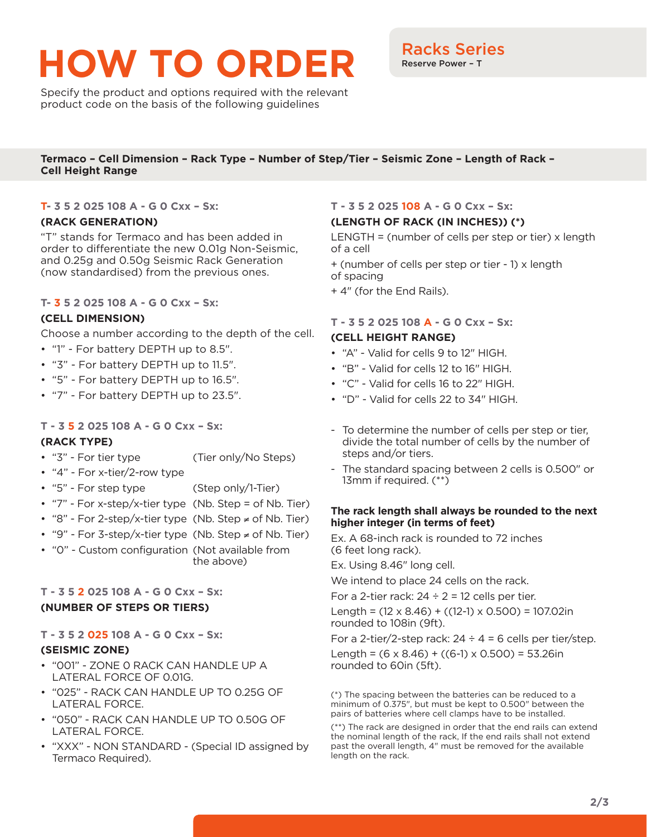# **HOW TO ORDER** Racks Series

Specify the product and options required with the relevant product code on the basis of the following guidelines

#### **Termaco – Cell Dimension – Rack Type – Number of Step/Tier – Seismic Zone – Length of Rack – Cell Height Range**

#### **T- 3 5 2 025 108 A - G 0 Cxx – Sx:**

#### **(RACK GENERATION)**

"T" stands for Termaco and has been added in order to differentiate the new 0.01g Non-Seismic, and 0.25g and 0.50g Seismic Rack Generation (now standardised) from the previous ones.

#### **T- 3 5 2 025 108 A - G 0 Cxx – Sx:**

#### **(CELL DIMENSION)**

Choose a number according to the depth of the cell.

- "1" For battery DEPTH up to 8.5".
- "3" For battery DEPTH up to 11.5".
- "5" For battery DEPTH up to 16.5".
- "7" For battery DEPTH up to 23.5".

#### **T - 3 5 2 025 108 A - G 0 Cxx – Sx:**

#### **(RACK TYPE)**

- "3" For tier type (Tier only/No Steps)
- "4" For x-tier/2-row type
- "5" For step type (Step only/1-Tier)
- "7" For x-step/x-tier type (Nb. Step = of Nb. Tier)
- "8" For 2-step/x-tier type (Nb. Step ≠ of Nb. Tier)
- "9" For 3-step/x-tier type (Nb. Step ≠ of Nb. Tier)
- "0" Custom configuration (Not available from the above)

#### **T - 3 5 2 025 108 A - G 0 Cxx – Sx: (NUMBER OF STEPS OR TIERS)**

#### **T - 3 5 2 025 108 A - G 0 Cxx – Sx:**

#### **(SEISMIC ZONE)**

- "001" ZONE 0 RACK CAN HANDLE UP A LATERAL FORCE OF 0.01G.
- "025" RACK CAN HANDLE UP TO 0.25G OF LATERAL FORCE.
- "050" RACK CAN HANDLE UP TO 0.50G OF LATERAL FORCE.
- "XXX" NON STANDARD (Special ID assigned by Termaco Required).

#### **T - 3 5 2 025 108 A - G 0 Cxx – Sx:**

#### **(LENGTH OF RACK (IN INCHES)) (\*)**

LENGTH = (number of cells per step or tier) x length of a cell

+ (number of cells per step or tier - 1) x length of spacing

+ 4" (for the End Rails).

#### **T - 3 5 2 025 108 A - G 0 Cxx – Sx:**

#### **(CELL HEIGHT RANGE)**

- "A" Valid for cells 9 to 12" HIGH.
- "B" Valid for cells 12 to 16" HIGH.
- "C" Valid for cells 16 to 22" HIGH.
- "D" Valid for cells 22 to 34" HIGH.
- To determine the number of cells per step or tier, divide the total number of cells by the number of steps and/or tiers.
- The standard spacing between 2 cells is 0.500" or 13mm if required. (\*\*)

#### **The rack length shall always be rounded to the next higher integer (in terms of feet)**

Ex. A 68-inch rack is rounded to 72 inches (6 feet long rack).

Ex. Using 8.46" long cell.

We intend to place 24 cells on the rack.

For a 2-tier rack:  $24 \div 2 = 12$  cells per tier.

Length =  $(12 \times 8.46) + ((12-1) \times 0.500) = 107.02$ in rounded to 108in (9ft).

For a 2-tier/2-step rack:  $24 \div 4 = 6$  cells per tier/step.

Length =  $(6 \times 8.46) + ((6-1) \times 0.500) = 53.26$ in rounded to 60in (5ft).

(\*) The spacing between the batteries can be reduced to a minimum of 0.375", but must be kept to 0.500" between the pairs of batteries where cell clamps have to be installed.

(\*\*) The rack are designed in order that the end rails can extend the nominal length of the rack, If the end rails shall not extend past the overall length, 4" must be removed for the available length on the rack.